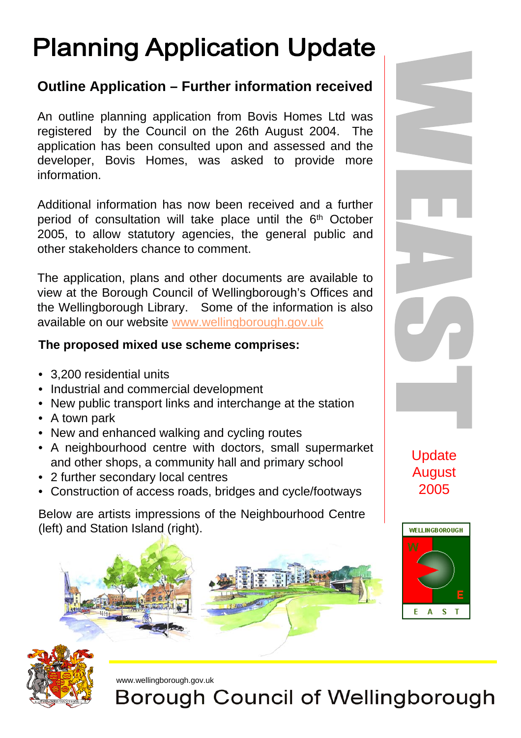## **Planning Application Update**

## **Outline Application – Further information received**

An outline planning application from Bovis Homes Ltd was registered by the Council on the 26th August 2004. The application has been consulted upon and assessed and the developer, Bovis Homes, was asked to provide more information.

Additional information has now been received and a further period of consultation will take place until the 6<sup>th</sup> October 2005, to allow statutory agencies, the general public and other stakeholders chance to comment.

The application, plans and other documents are available to view at the Borough Council of Wellingborough's Offices and the Wellingborough Library. Some of the information is also available on our website www.wellingborough.gov.uk

## **The proposed mixed use scheme comprises:**

- 3,200 residential units
- Industrial and commercial development
- New public transport links and interchange at the station
- A town park
- New and enhanced walking and cycling routes
- A neighbourhood centre with doctors, small supermarket and other shops, a community hall and primary school
- 2 further secondary local centres
- Construction of access roads, bridges and cycle/footways

Below are artists impressions of the Neighbourhood Centre (left) and Station Island (right).





**Update** August 2005



www.wellingborough.gov.uk

**Borough Council of Wellingborough**